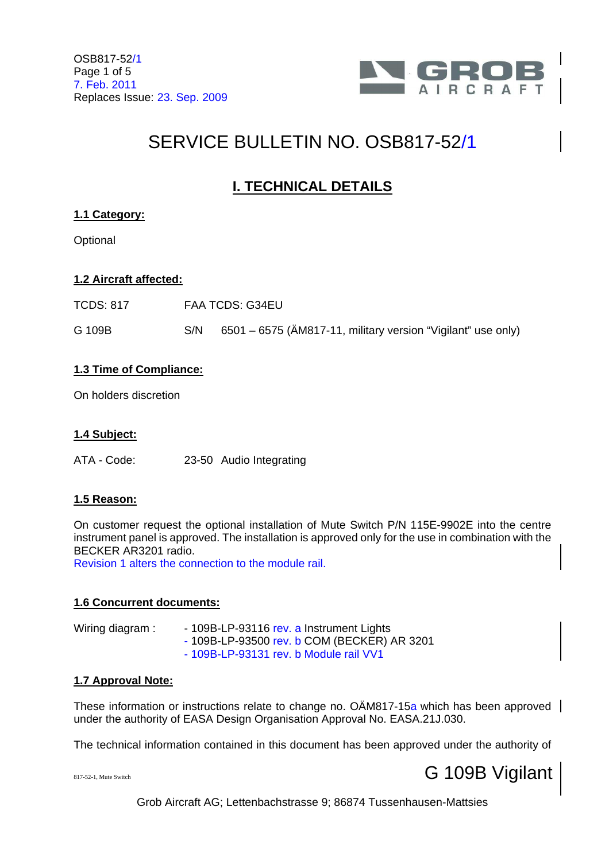

# SERVICE BULLETIN NO. OSB817-52/1

# **I. TECHNICAL DETAILS**

# **1.1 Category:**

**Optional** 

# **1.2 Aircraft affected:**

TCDS: 817 FAA TCDS: G34EU

G 109B S/N 6501 – 6575 (ÄM817-11, military version "Vigilant" use only)

# **1.3 Time of Compliance:**

On holders discretion

# **1.4 Subject:**

ATA - Code: 23-50 Audio Integrating

# **1.5 Reason:**

On customer request the optional installation of Mute Switch P/N 115E-9902E into the centre instrument panel is approved. The installation is approved only for the use in combination with the BECKER AR3201 radio.

Revision 1 alters the connection to the module rail.

### **1.6 Concurrent documents:**

| Wiring diagram: | - 109B-LP-93116 rev. a Instrument Lights    |
|-----------------|---------------------------------------------|
|                 | - 109B-LP-93500 rev. b COM (BECKER) AR 3201 |
|                 | - 109B-LP-93131 rev. b Module rail VV1      |

### **1.7 Approval Note:**

These information or instructions relate to change no. OÄM817-15a which has been approved under the authority of EASA Design Organisation Approval No. EASA.21J.030.

The technical information contained in this document has been approved under the authority of

# 817-52-1, Mute Switch G 109B Vigilant

Grob Aircraft AG; Lettenbachstrasse 9; 86874 Tussenhausen-Mattsies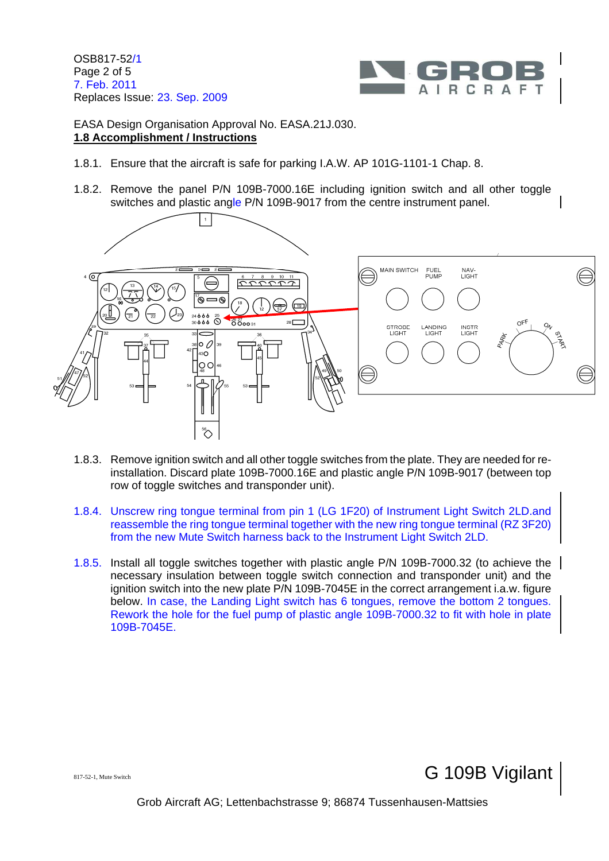OSB817-52/1 Page 2 of 5 7. Feb. 2011 Replaces Issue: 23. Sep. 2009



EASA Design Organisation Approval No. EASA.21J.030. **1.8 Accomplishment / Instructions**

- 1.8.1. Ensure that the aircraft is safe for parking I.A.W. AP 101G-1101-1 Chap. 8.
- 1.8.2. Remove the panel P/N 109B-7000.16E including ignition switch and all other toggle switches and plastic angle P/N 109B-9017 from the centre instrument panel.



- 1.8.3. Remove ignition switch and all other toggle switches from the plate. They are needed for reinstallation. Discard plate 109B-7000.16E and plastic angle P/N 109B-9017 (between top row of toggle switches and transponder unit).
- 1.8.4. Unscrew ring tongue terminal from pin 1 (LG 1F20) of Instrument Light Switch 2LD.and reassemble the ring tongue terminal together with the new ring tongue terminal (RZ 3F20) from the new Mute Switch harness back to the Instrument Light Switch 2LD.
- 1.8.5. Install all toggle switches together with plastic angle P/N 109B-7000.32 (to achieve the necessary insulation between toggle switch connection and transponder unit) and the ignition switch into the new plate P/N 109B-7045E in the correct arrangement i.a.w. figure below. In case, the Landing Light switch has 6 tongues, remove the bottom 2 tongues. Rework the hole for the fuel pump of plastic angle 109B-7000.32 to fit with hole in plate 109B-7045E.

 $\mathbf G$  109B Vigilant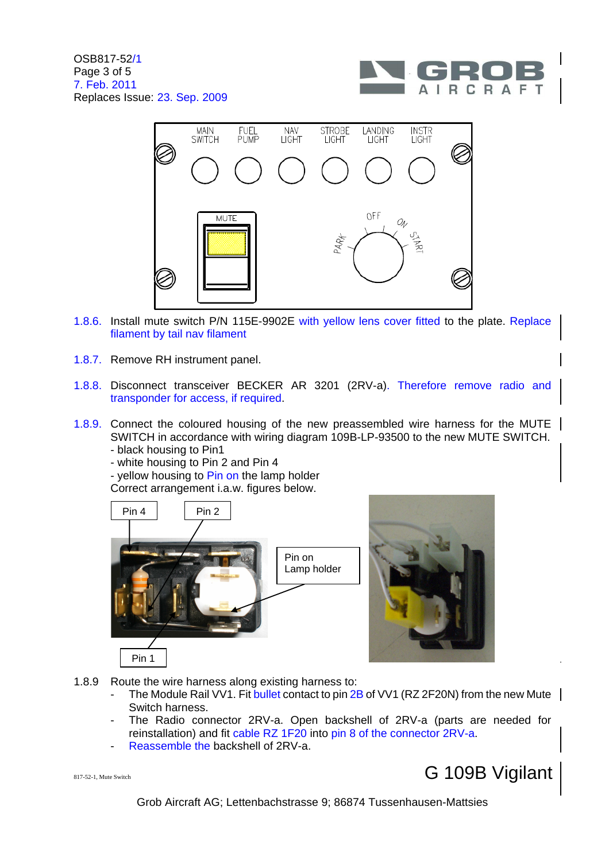



- 1.8.6. Install mute switch P/N 115E-9902E with yellow lens cover fitted to the plate. Replace filament by tail nav filament
- 1.8.7. Remove RH instrument panel.
- 1.8.8. Disconnect transceiver BECKER AR 3201 (2RV-a). Therefore remove radio and transponder for access, if required.
- 1.8.9. Connect the coloured housing of the new preassembled wire harness for the MUTE SWITCH in accordance with wiring diagram 109B-LP-93500 to the new MUTE SWITCH.
	- black housing to Pin1
	- white housing to Pin 2 and Pin 4

- yellow housing to Pin on the lamp holder

Correct arrangement i.a.w. figures below.



- 1.8.9 Route the wire harness along existing harness to:
	- The Module Rail VV1. Fit bullet contact to pin  $2B$  of VV1 (RZ 2F20N) from the new Mute  $\parallel$ Switch harness.
	- The Radio connector 2RV-a. Open backshell of 2RV-a (parts are needed for reinstallation) and fit cable RZ 1F20 into pin 8 of the connector 2RV-a.
	- Reassemble the backshell of 2RV-a.

# 817-52-1, Mute Switch G 109B Vigilant

Grob Aircraft AG; Lettenbachstrasse 9; 86874 Tussenhausen-Mattsies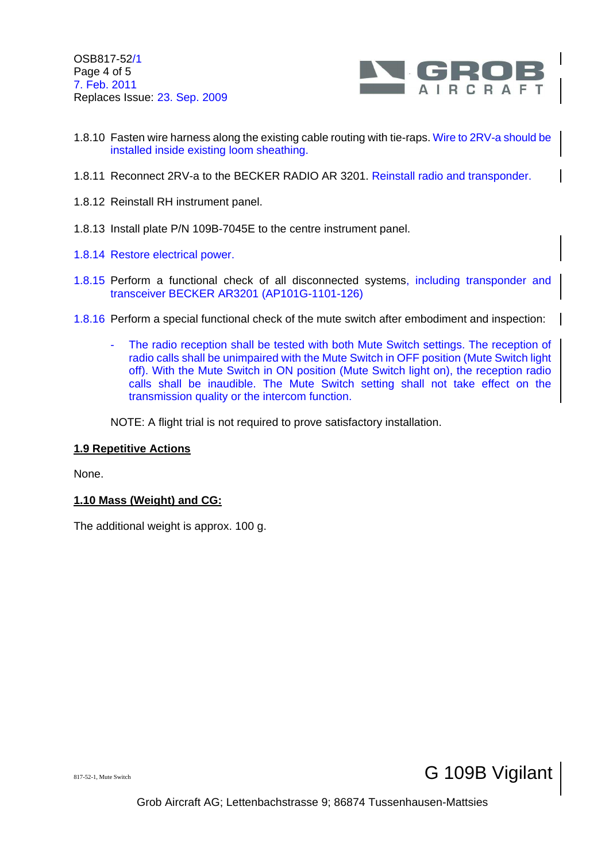OSB817-52/1 Page 4 of 5 7. Feb. 2011 Replaces Issue: 23. Sep. 2009



- 1.8.10 Fasten wire harness along the existing cable routing with tie-raps. Wire to 2RV-a should be installed inside existing loom sheathing.
- 1.8.11 Reconnect 2RV-a to the BECKER RADIO AR 3201. Reinstall radio and transponder.
- 1.8.12 Reinstall RH instrument panel.
- 1.8.13 Install plate P/N 109B-7045E to the centre instrument panel.
- 1.8.14 Restore electrical power.
- 1.8.15 Perform a functional check of all disconnected systems, including transponder and transceiver BECKER AR3201 (AP101G-1101-126)
- 1.8.16 Perform a special functional check of the mute switch after embodiment and inspection:
	- The radio reception shall be tested with both Mute Switch settings. The reception of radio calls shall be unimpaired with the Mute Switch in OFF position (Mute Switch light off). With the Mute Switch in ON position (Mute Switch light on), the reception radio calls shall be inaudible. The Mute Switch setting shall not take effect on the transmission quality or the intercom function.

NOTE: A flight trial is not required to prove satisfactory installation.

#### **1.9 Repetitive Actions**

None.

#### **1.10 Mass (Weight) and CG:**

The additional weight is approx. 100 g.